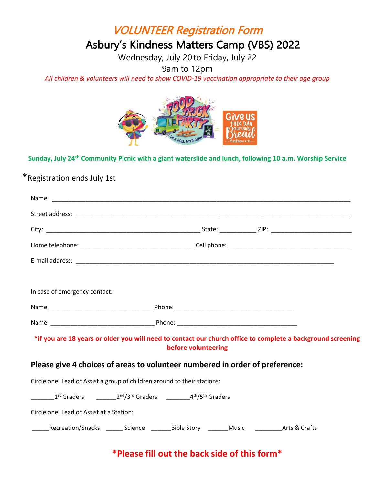## VOLUNTEER Registration Form

# Asbury's Kindness Matters Camp (VBS) 2022

Wednesday, July 20 to Friday, July 22

9am to 12pm

*All children & volunteers will need to show COVID-19 vaccination appropriate to their age group*



#### **Sunday, July 24th Community Picnic with a giant waterslide and lunch, following 10 a.m. Worship Service**

### \*Registration ends July 1st

| In case of emergency contact:                                                                                |                     |  |  |
|--------------------------------------------------------------------------------------------------------------|---------------------|--|--|
|                                                                                                              |                     |  |  |
|                                                                                                              |                     |  |  |
| *if you are 18 years or older you will need to contact our church office to complete a background screening  | before volunteering |  |  |
| Please give 4 choices of areas to volunteer numbered in order of preference:                                 |                     |  |  |
| Circle one: Lead or Assist a group of children around to their stations:                                     |                     |  |  |
| $1st$ Graders $2nd/3rd$ Graders $4th/5th$ Graders                                                            |                     |  |  |
| Circle one: Lead or Assist at a Station:                                                                     |                     |  |  |
| ______Recreation/Snacks ___________Science __________Bible Story __________Music ______________Arts & Crafts |                     |  |  |
|                                                                                                              |                     |  |  |

### **\*Please fill out the back side of this form\***